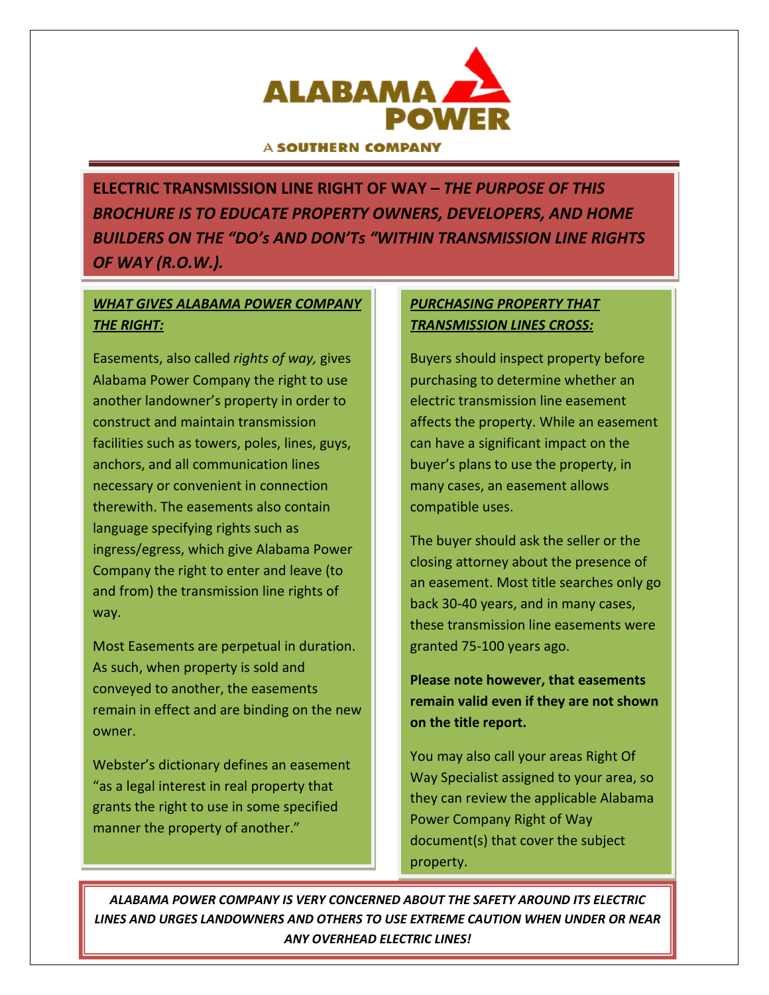

#### **A SOUTHERN COMPANY**

**ELECTRIC TRANSMISSION LINE RIGHT OF WAY –** *THE PURPOSE OF THIS BROCHURE IS TO EDUCATE PROPERTY OWNERS, DEVELOPERS, AND HOME BUILDERS ON THE "DO's AND DON'Ts "WITHIN TRANSMISSION LINE RIGHTS OF WAY (R.O.W.).*

## *WHAT GIVES ALABAMA POWER COMPANY THE RIGHT:*

Easements, also called *rights of way,* gives Alabama Power Company the right to use another landowner's property in order to construct and maintain transmission facilities such as towers, poles, lines, guys, anchors, and all communication lines necessary or convenient in connection therewith. The easements also contain language specifying rights such as ingress/egress, which give Alabama Power Company the right to enter and leave (to and from) the transmission line rights of way.

Most Easements are perpetual in duration. As such, when property is sold and conveyed to another, the easements remain in effect and are binding on the new owner.

Webster's dictionary defines an easement "as a legal interest in real property that grants the right to use in some specified manner the property of another."

### *PURCHASING PROPERTY THAT TRANSMISSION LINES CROSS:*

Buyers should inspect property before purchasing to determine whether an electric transmission line easement affects the property. While an easement can have a significant impact on the buyer's plans to use the property, in many cases, an easement allows compatible uses.

The buyer should ask the seller or the closing attorney about the presence of an easement. Most title searches only go back 30-40 years, and in many cases, these transmission line easements were granted 75-100 years ago.

**Please note however, that easements remain valid even if they are not shown on the title report.**

You may also call your areas Right Of Way Specialist assigned to your area, so they can review the applicable Alabama Power Company Right of Way document(s) that cover the subject property.

*ALABAMA POWER COMPANY IS VERY CONCERNED ABOUT THE SAFETY AROUND ITS ELECTRIC LINES AND URGES LANDOWNERS AND OTHERS TO USE EXTREME CAUTION WHEN UNDER OR NEAR ANY OVERHEAD ELECTRIC LINES!*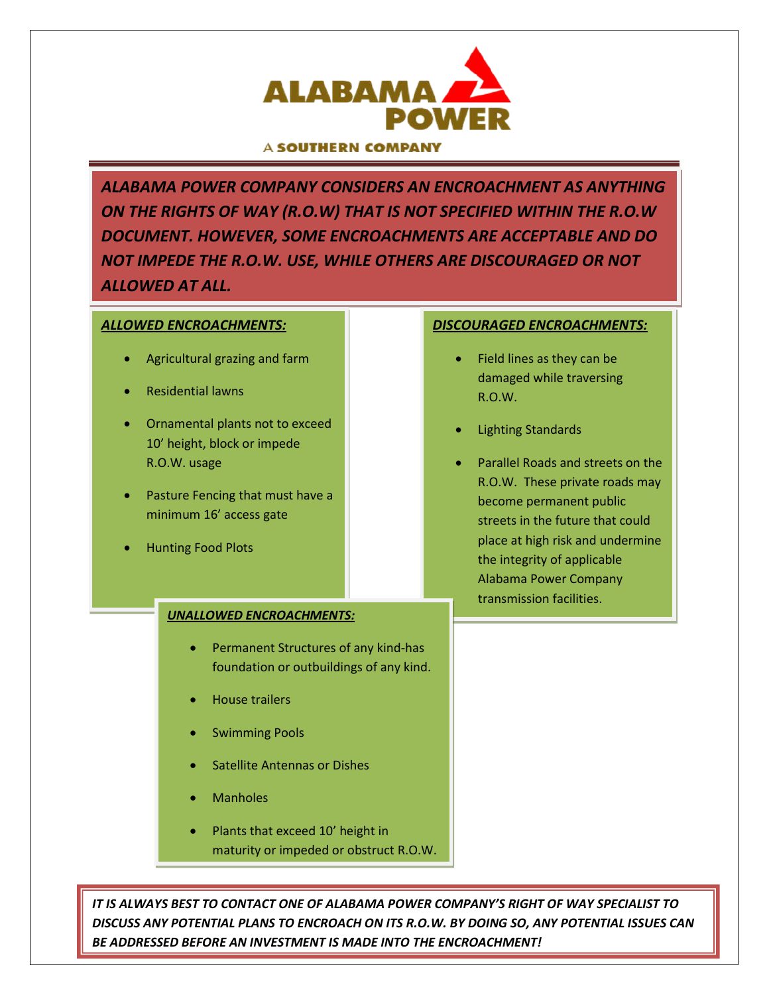

#### A SOUTHERN COMPAN

*ALABAMA POWER COMPANY CONSIDERS AN ENCROACHMENT AS ANYTHING ON THE RIGHTS OF WAY (R.O.W) THAT IS NOT SPECIFIED WITHIN THE R.O.W DOCUMENT. HOWEVER, SOME ENCROACHMENTS ARE ACCEPTABLE AND DO NOT IMPEDE THE R.O.W. USE, WHILE OTHERS ARE DISCOURAGED OR NOT ALLOWED AT ALL.*

# *ALLOWED ENCROACHMENTS:* • Agricultural grazing and farm • Residential lawns • Ornamental plants not to exceed 10' height, block or impede R.O.W. usage • Pasture Fencing that must have a minimum 16' access gate • Hunting Food Plots R.O.W. *UNALLOWED ENCROACHMENTS:* • Permanent Structures of any kind-has foundation or outbuildings of any kind. • House trailers • Swimming Pools • Satellite Antennas or Dishes

- **Manholes**
- Plants that exceed 10' height in maturity or impeded or obstruct R.O.W.

*IT IS ALWAYS BEST TO CONTACT ONE OF ALABAMA POWER COMPANY'S RIGHT OF WAY SPECIALIST TO DISCUSS ANY POTENTIAL PLANS TO ENCROACH ON ITS R.O.W. BY DOING SO, ANY POTENTIAL ISSUES CAN BE ADDRESSED BEFORE AN INVESTMENT IS MADE INTO THE ENCROACHMENT!*

#### *DISCOURAGED ENCROACHMENTS:*

- Field lines as they can be damaged while traversing
- Lighting Standards
- Parallel Roads and streets on the R.O.W. These private roads may become permanent public streets in the future that could place at high risk and undermine the integrity of applicable Alabama Power Company transmission facilities.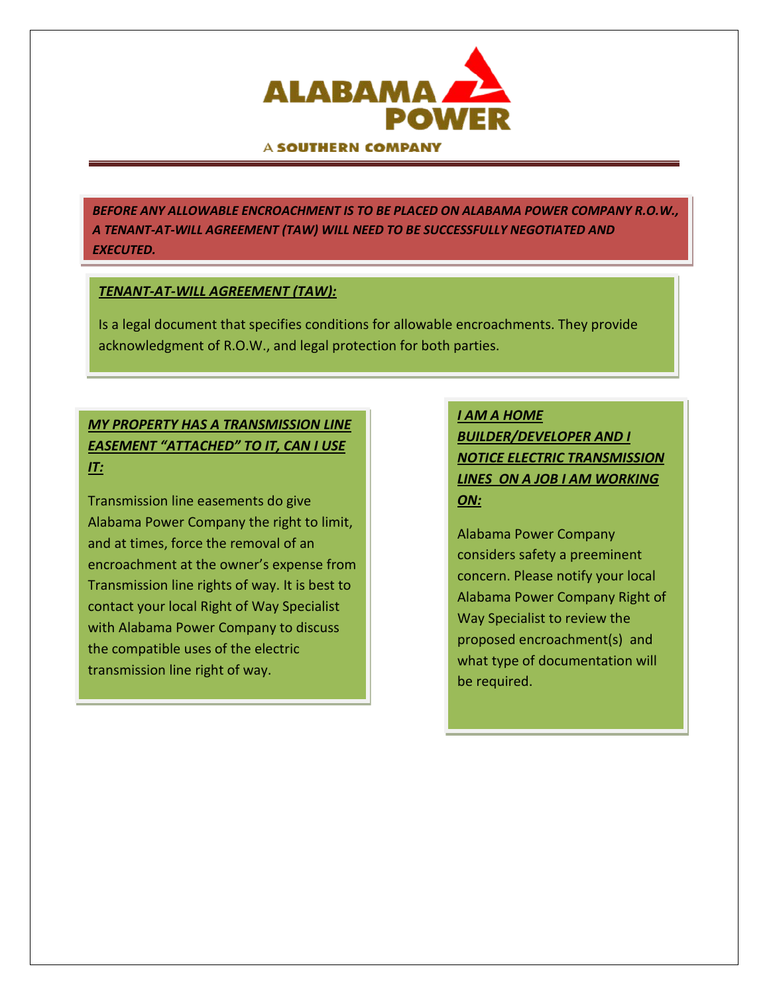

#### A SOUTHERN COMPANY

*BEFORE ANY ALLOWABLE ENCROACHMENT IS TO BE PLACED ON ALABAMA POWER COMPANY R.O.W., A TENANT-AT-WILL AGREEMENT (TAW) WILL NEED TO BE SUCCESSFULLY NEGOTIATED AND EXECUTED.*

#### *TENANT-AT-WILL AGREEMENT (TAW):*

Is a legal document that specifies conditions for allowable encroachments. They provide acknowledgment of R.O.W., and legal protection for both parties.

## *MY PROPERTY HAS A TRANSMISSION LINE EASEMENT "ATTACHED" TO IT, CAN I USE IT:*

Transmission line easements do give Alabama Power Company the right to limit, and at times, force the removal of an encroachment at the owner's expense from Transmission line rights of way. It is best to contact your local Right of Way Specialist with Alabama Power Company to discuss the compatible uses of the electric transmission line right of way.

# *I AM A HOME BUILDER/DEVELOPER AND I NOTICE ELECTRIC TRANSMISSION LINES ON A JOB I AM WORKING ON:*

Alabama Power Company considers safety a preeminent concern. Please notify your local Alabama Power Company Right of Way Specialist to review the proposed encroachment(s) and what type of documentation will be required.